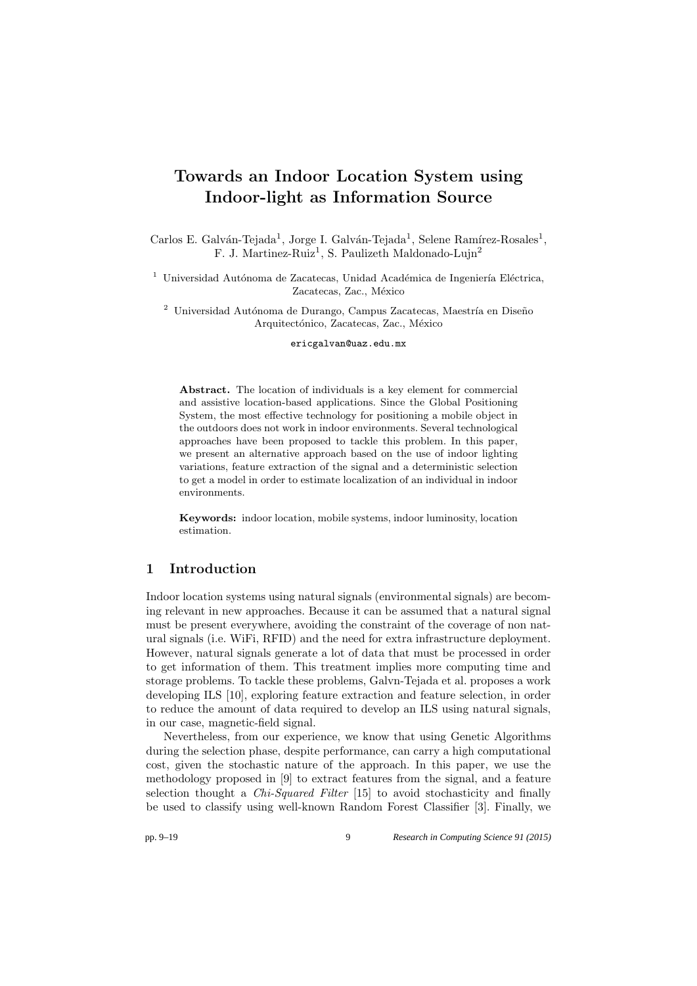# Towards an Indoor Location System using Indoor-light as Information Source

Carlos E. Galván-Tejada<sup>1</sup>, Jorge I. Galván-Tejada<sup>1</sup>, Selene Ramírez-Rosales<sup>1</sup>, F. J. Martinez-Ruiz<sup>1</sup>, S. Paulizeth Maldonado-Lujn<sup>2</sup>

 $1$  Universidad Autónoma de Zacatecas, Unidad Académica de Ingeniería Eléctrica, Zacatecas, Zac., México

 $^2\,$ Universidad Autónoma de Durango, Campus Zacatecas, Maestría en Diseño Arquitectónico, Zacatecas, Zac., México

ericgalvan@uaz.edu.mx

Abstract. The location of individuals is a key element for commercial and assistive location-based applications. Since the Global Positioning System, the most effective technology for positioning a mobile object in the outdoors does not work in indoor environments. Several technological approaches have been proposed to tackle this problem. In this paper, we present an alternative approach based on the use of indoor lighting variations, feature extraction of the signal and a deterministic selection to get a model in order to estimate localization of an individual in indoor environments.

Keywords: indoor location, mobile systems, indoor luminosity, location estimation.

# 1 Introduction

Indoor location systems using natural signals (environmental signals) are becoming relevant in new approaches. Because it can be assumed that a natural signal must be present everywhere, avoiding the constraint of the coverage of non natural signals (i.e. WiFi, RFID) and the need for extra infrastructure deployment. However, natural signals generate a lot of data that must be processed in order to get information of them. This treatment implies more computing time and storage problems. To tackle these problems, Galvn-Tejada et al. proposes a work developing ILS [10], exploring feature extraction and feature selection, in order to reduce the amount of data required to develop an ILS using natural signals, in our case, magnetic-field signal.

Nevertheless, from our experience, we know that using Genetic Algorithms during the selection phase, despite performance, can carry a high computational cost, given the stochastic nature of the approach. In this paper, we use the methodology proposed in [9] to extract features from the signal, and a feature selection thought a Chi-Squared Filter [15] to avoid stochasticity and finally be used to classify using well-known Random Forest Classifier [3]. Finally, we

pp. 9–19 9 *Research in Computing Science 91 (2015)*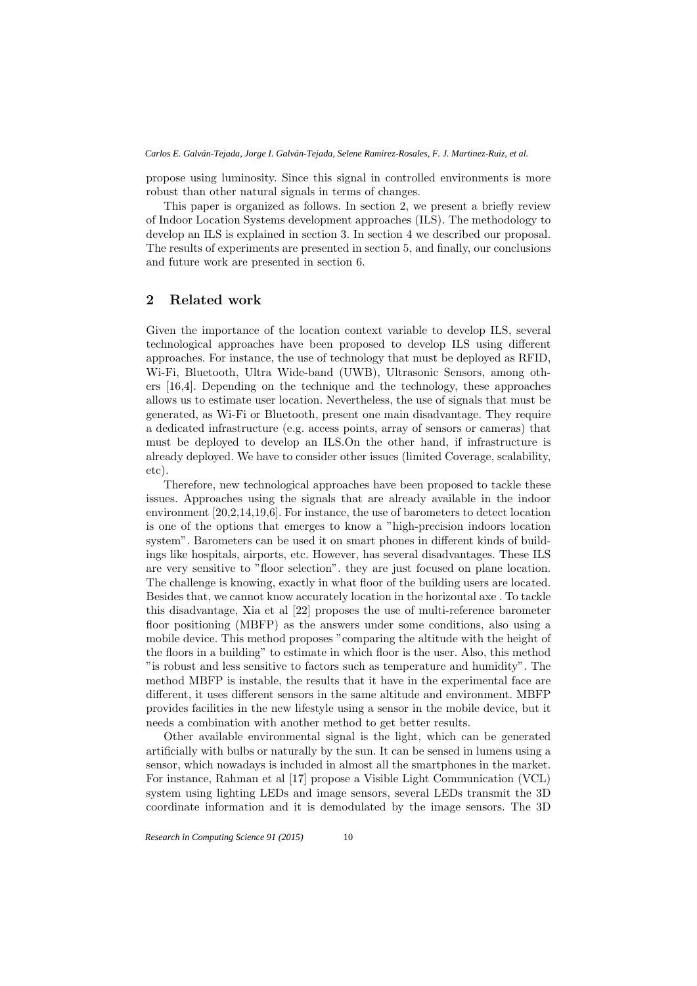*Carlos E. Galván-Tejada, Jorge I. Galván-Tejada, Selene Ramírez-Rosales, F. J. Martinez-Ruiz, et al.*

propose using luminosity. Since this signal in controlled environments is more robust than other natural signals in terms of changes.

This paper is organized as follows. In section 2, we present a briefly review of Indoor Location Systems development approaches (ILS). The methodology to develop an ILS is explained in section 3. In section 4 we described our proposal. The results of experiments are presented in section 5, and finally, our conclusions and future work are presented in section 6.

# 2 Related work

Given the importance of the location context variable to develop ILS, several technological approaches have been proposed to develop ILS using different approaches. For instance, the use of technology that must be deployed as RFID, Wi-Fi, Bluetooth, Ultra Wide-band (UWB), Ultrasonic Sensors, among others [16,4]. Depending on the technique and the technology, these approaches allows us to estimate user location. Nevertheless, the use of signals that must be generated, as Wi-Fi or Bluetooth, present one main disadvantage. They require a dedicated infrastructure (e.g. access points, array of sensors or cameras) that must be deployed to develop an ILS.On the other hand, if infrastructure is already deployed. We have to consider other issues (limited Coverage, scalability, etc).

Therefore, new technological approaches have been proposed to tackle these issues. Approaches using the signals that are already available in the indoor environment [20,2,14,19,6]. For instance, the use of barometers to detect location is one of the options that emerges to know a "high-precision indoors location system". Barometers can be used it on smart phones in different kinds of buildings like hospitals, airports, etc. However, has several disadvantages. These ILS are very sensitive to "floor selection". they are just focused on plane location. The challenge is knowing, exactly in what floor of the building users are located. Besides that, we cannot know accurately location in the horizontal axe . To tackle this disadvantage, Xia et al [22] proposes the use of multi-reference barometer floor positioning (MBFP) as the answers under some conditions, also using a mobile device. This method proposes "comparing the altitude with the height of the floors in a building" to estimate in which floor is the user. Also, this method "is robust and less sensitive to factors such as temperature and humidity". The method MBFP is instable, the results that it have in the experimental face are different, it uses different sensors in the same altitude and environment. MBFP provides facilities in the new lifestyle using a sensor in the mobile device, but it needs a combination with another method to get better results.

Other available environmental signal is the light, which can be generated artificially with bulbs or naturally by the sun. It can be sensed in lumens using a sensor, which nowadays is included in almost all the smartphones in the market. For instance, Rahman et al [17] propose a Visible Light Communication (VCL) system using lighting LEDs and image sensors, several LEDs transmit the 3D coordinate information and it is demodulated by the image sensors. The 3D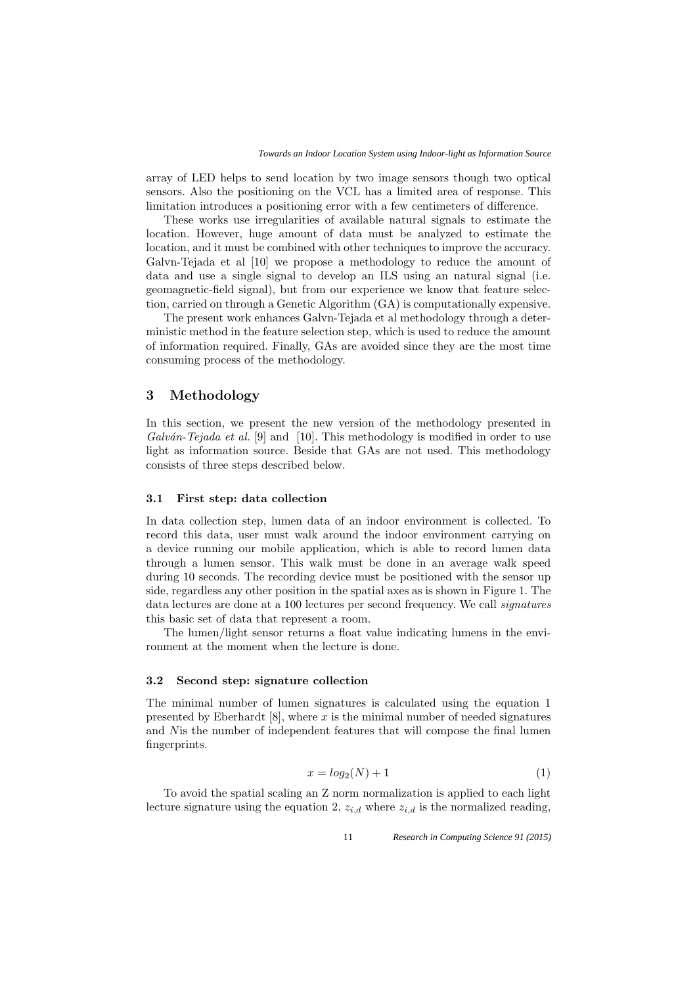array of LED helps to send location by two image sensors though two optical sensors. Also the positioning on the VCL has a limited area of response. This limitation introduces a positioning error with a few centimeters of difference.

These works use irregularities of available natural signals to estimate the location. However, huge amount of data must be analyzed to estimate the location, and it must be combined with other techniques to improve the accuracy. Galvn-Tejada et al [10] we propose a methodology to reduce the amount of data and use a single signal to develop an ILS using an natural signal (i.e. geomagnetic-field signal), but from our experience we know that feature selection, carried on through a Genetic Algorithm (GA) is computationally expensive.

The present work enhances Galvn-Tejada et al methodology through a deterministic method in the feature selection step, which is used to reduce the amount of information required. Finally, GAs are avoided since they are the most time consuming process of the methodology.

#### 3 Methodology

In this section, we present the new version of the methodology presented in Galván-Tejada et al. [9] and [10]. This methodology is modified in order to use light as information source. Beside that GAs are not used. This methodology consists of three steps described below.

#### 3.1 First step: data collection

In data collection step, lumen data of an indoor environment is collected. To record this data, user must walk around the indoor environment carrying on a device running our mobile application, which is able to record lumen data through a lumen sensor. This walk must be done in an average walk speed during 10 seconds. The recording device must be positioned with the sensor up side, regardless any other position in the spatial axes as is shown in Figure 1. The data lectures are done at a 100 lectures per second frequency. We call *signatures* this basic set of data that represent a room.

The lumen/light sensor returns a float value indicating lumens in the environment at the moment when the lecture is done.

#### 3.2 Second step: signature collection

The minimal number of lumen signatures is calculated using the equation 1 presented by Eberhardt  $[8]$ , where x is the minimal number of needed signatures and Nis the number of independent features that will compose the final lumen fingerprints.

$$
x = log_2(N) + 1 \tag{1}
$$

To avoid the spatial scaling an Z norm normalization is applied to each light lecture signature using the equation 2,  $z_{i,d}$  where  $z_{i,d}$  is the normalized reading,

11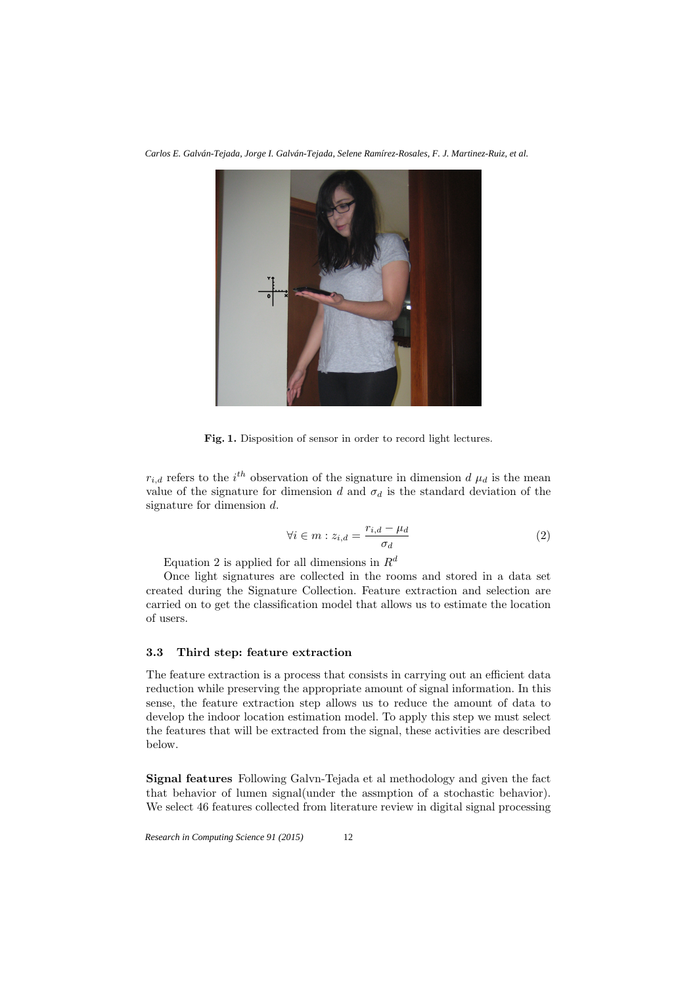*Carlos E. Galván-Tejada, Jorge I. Galván-Tejada, Selene Ramírez-Rosales, F. J. Martinez-Ruiz, et al.*



Fig. 1. Disposition of sensor in order to record light lectures.

 $r_{i,d}$  refers to the  $i^{th}$  observation of the signature in dimension d  $\mu_d$  is the mean value of the signature for dimension d and  $\sigma_d$  is the standard deviation of the signature for dimension d.

$$
\forall i \in m : z_{i,d} = \frac{r_{i,d} - \mu_d}{\sigma_d} \tag{2}
$$

Equation 2 is applied for all dimensions in  $R^d$ 

Once light signatures are collected in the rooms and stored in a data set created during the Signature Collection. Feature extraction and selection are carried on to get the classification model that allows us to estimate the location of users.

## 3.3 Third step: feature extraction

The feature extraction is a process that consists in carrying out an efficient data reduction while preserving the appropriate amount of signal information. In this sense, the feature extraction step allows us to reduce the amount of data to develop the indoor location estimation model. To apply this step we must select the features that will be extracted from the signal, these activities are described below.

Signal features Following Galvn-Tejada et al methodology and given the fact that behavior of lumen signal(under the assmption of a stochastic behavior). We select 46 features collected from literature review in digital signal processing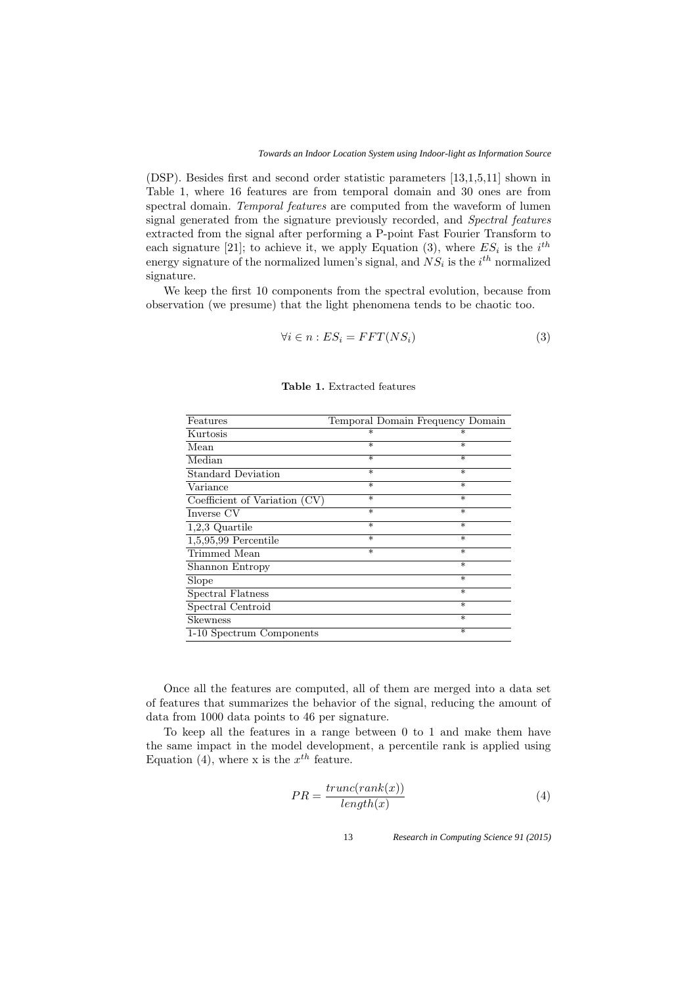(DSP). Besides first and second order statistic parameters [13,1,5,11] shown in Table 1, where 16 features are from temporal domain and 30 ones are from spectral domain. Temporal features are computed from the waveform of lumen signal generated from the signature previously recorded, and Spectral features extracted from the signal after performing a P-point Fast Fourier Transform to each signature [21]; to achieve it, we apply Equation (3), where  $ES_i$  is the  $i^{th}$ energy signature of the normalized lumen's signal, and  $NS_i$  is the  $i^{th}$  normalized signature.

We keep the first 10 components from the spectral evolution, because from observation (we presume) that the light phenomena tends to be chaotic too.

$$
\forall i \in n : ES_i = FFT(NS_i) \tag{3}
$$

| Features                      |                   | Temporal Domain Frequency Domain |
|-------------------------------|-------------------|----------------------------------|
| Kurtosis                      | $^\ast$           | $\ast$                           |
| Mean                          | $\ast$            | $\ast$                           |
| Median                        | $\ast$            | $\ast$                           |
| <b>Standard Deviation</b>     | $\ast$            | $\ast$                           |
| Variance                      | $\ast$            | $\ast$                           |
| Coefficient of Variation (CV) | $\ast$            | $\ast$                           |
| Inverse CV                    | $\overline{\ast}$ | $\ast$                           |
| $1,2,3$ Quartile              | $\ast$            | $\ast$                           |
| $1,5,95,99$ Percentile        | $\ast$            | $\overline{\ast}$                |
| Trimmed Mean                  | ⋇                 | $\overline{\ast}$                |
| Shannon Entropy               |                   | $\ast$                           |
| Slope                         |                   | $\ast$                           |
| Spectral Flatness             |                   | $\ast$                           |
| Spectral Centroid             |                   | $\overline{\ast}$                |
| Skewness                      |                   | $\ast$                           |
| 1-10 Spectrum Components      |                   | $\ast$                           |
|                               |                   |                                  |

Table 1. Extracted features

Once all the features are computed, all of them are merged into a data set of features that summarizes the behavior of the signal, reducing the amount of data from 1000 data points to 46 per signature.

To keep all the features in a range between 0 to 1 and make them have the same impact in the model development, a percentile rank is applied using Equation (4), where x is the  $x^{th}$  feature.

$$
PR = \frac{trunc(rank(x))}{length(x)}
$$
(4)

*Research in Computing Science 91 (2015)*

13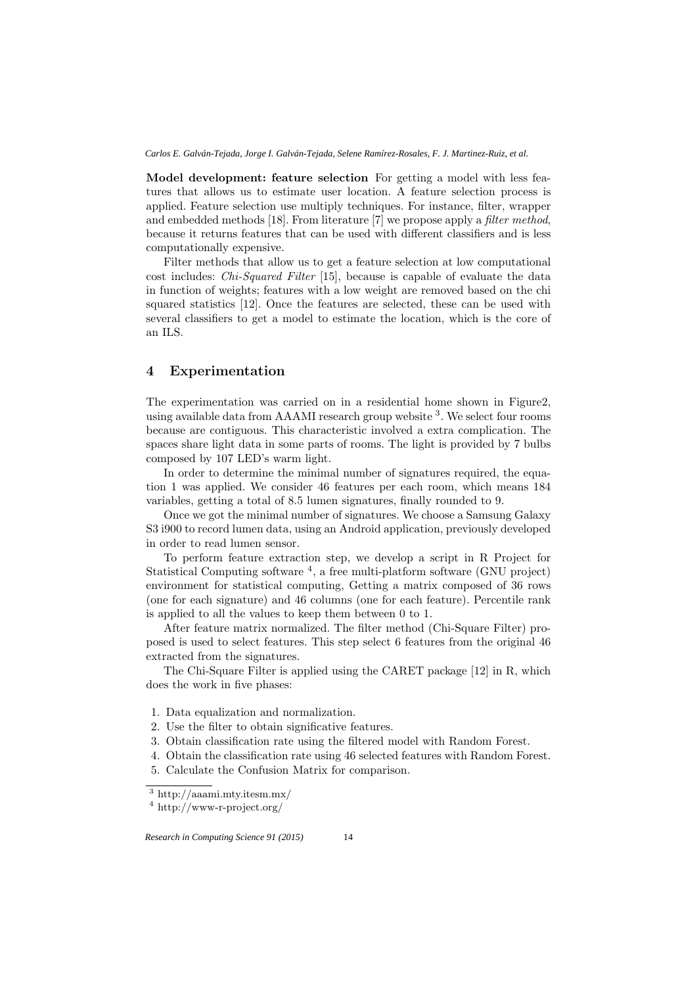*Carlos E. Galván-Tejada, Jorge I. Galván-Tejada, Selene Ramírez-Rosales, F. J. Martinez-Ruiz, et al.*

Model development: feature selection For getting a model with less features that allows us to estimate user location. A feature selection process is applied. Feature selection use multiply techniques. For instance, filter, wrapper and embedded methods [18]. From literature [7] we propose apply a filter method, because it returns features that can be used with different classifiers and is less computationally expensive.

Filter methods that allow us to get a feature selection at low computational cost includes: Chi-Squared Filter [15], because is capable of evaluate the data in function of weights; features with a low weight are removed based on the chi squared statistics [12]. Once the features are selected, these can be used with several classifiers to get a model to estimate the location, which is the core of an ILS.

## 4 Experimentation

The experimentation was carried on in a residential home shown in Figure2, using available data from  $A A A M I$  research group website  $3$ . We select four rooms because are contiguous. This characteristic involved a extra complication. The spaces share light data in some parts of rooms. The light is provided by 7 bulbs composed by 107 LED's warm light.

In order to determine the minimal number of signatures required, the equation 1 was applied. We consider 46 features per each room, which means 184 variables, getting a total of 8.5 lumen signatures, finally rounded to 9.

Once we got the minimal number of signatures. We choose a Samsung Galaxy S3 i900 to record lumen data, using an Android application, previously developed in order to read lumen sensor.

To perform feature extraction step, we develop a script in R Project for Statistical Computing software<sup>4</sup>, a free multi-platform software (GNU project) environment for statistical computing, Getting a matrix composed of 36 rows (one for each signature) and 46 columns (one for each feature). Percentile rank is applied to all the values to keep them between 0 to 1.

After feature matrix normalized. The filter method (Chi-Square Filter) proposed is used to select features. This step select 6 features from the original 46 extracted from the signatures.

The Chi-Square Filter is applied using the CARET package [12] in R, which does the work in five phases:

- 1. Data equalization and normalization.
- 2. Use the filter to obtain significative features.
- 3. Obtain classification rate using the filtered model with Random Forest.
- 4. Obtain the classification rate using 46 selected features with Random Forest.
- 5. Calculate the Confusion Matrix for comparison.

<sup>3</sup> http://aaami.mty.itesm.mx/

<sup>4</sup> http://www-r-project.org/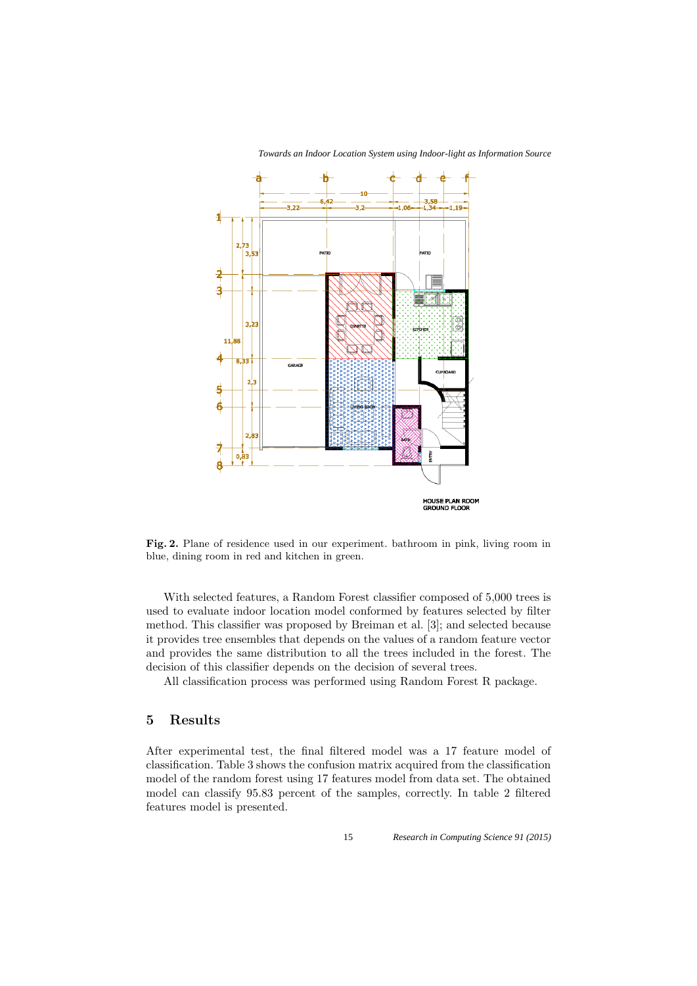

*Towards an Indoor Location System using Indoor-light as Information Source*

Fig. 2. Plane of residence used in our experiment. bathroom in pink, living room in blue, dining room in red and kitchen in green.

With selected features, a Random Forest classifier composed of 5,000 trees is used to evaluate indoor location model conformed by features selected by filter method. This classifier was proposed by Breiman et al. [3]; and selected because it provides tree ensembles that depends on the values of a random feature vector and provides the same distribution to all the trees included in the forest. The decision of this classifier depends on the decision of several trees.

All classification process was performed using Random Forest R package.

#### 5 Results

After experimental test, the final filtered model was a 17 feature model of classification. Table 3 shows the confusion matrix acquired from the classification model of the random forest using 17 features model from data set. The obtained model can classify 95.83 percent of the samples, correctly. In table 2 filtered features model is presented.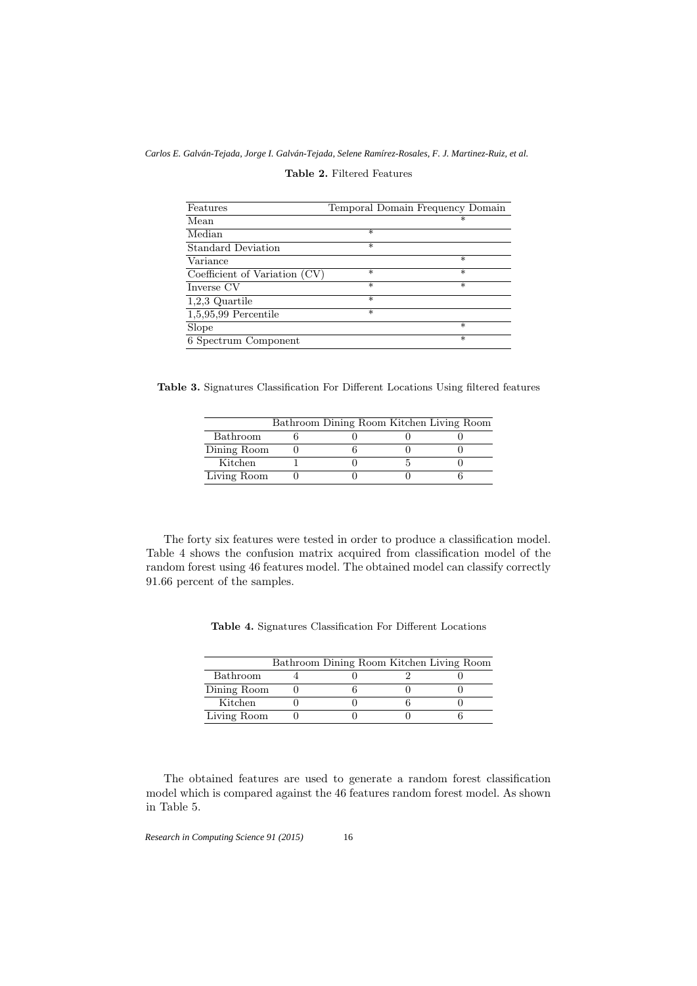*Carlos E. Galván-Tejada, Jorge I. Galván-Tejada, Selene Ramírez-Rosales, F. J. Martinez-Ruiz, et al.*

| Features                      | Temporal Domain Frequency Domain |        |
|-------------------------------|----------------------------------|--------|
| Mean                          |                                  | $\ast$ |
| Median                        | $\ast$                           |        |
| <b>Standard Deviation</b>     | $\ast$                           |        |
| Variance                      |                                  | $\ast$ |
| Coefficient of Variation (CV) | $\ast$                           | $\ast$ |
| Inverse CV                    | $\ast$                           | $\ast$ |
| $1,2,3$ Quartile              | $\ast$                           |        |
| $1,5,95,99$ Percentile        | $\ast$                           |        |
| Slope                         |                                  | $\ast$ |
| 6 Spectrum Component          |                                  | $\ast$ |

Table 2. Filtered Features

Table 3. Signatures Classification For Different Locations Using filtered features

|             | Bathroom Dining Room Kitchen Living Room |  |
|-------------|------------------------------------------|--|
| Bathroom    |                                          |  |
| Dining Room |                                          |  |
| Kitchen     |                                          |  |
| Living Room |                                          |  |

The forty six features were tested in order to produce a classification model. Table 4 shows the confusion matrix acquired from classification model of the random forest using 46 features model. The obtained model can classify correctly 91.66 percent of the samples.

Table 4. Signatures Classification For Different Locations

|             | Bathroom Dining Room Kitchen Living Room |  |
|-------------|------------------------------------------|--|
| Bathroom    |                                          |  |
| Dining Room |                                          |  |
| Kitchen     |                                          |  |
| Living Room |                                          |  |

The obtained features are used to generate a random forest classification model which is compared against the 46 features random forest model. As shown in Table 5.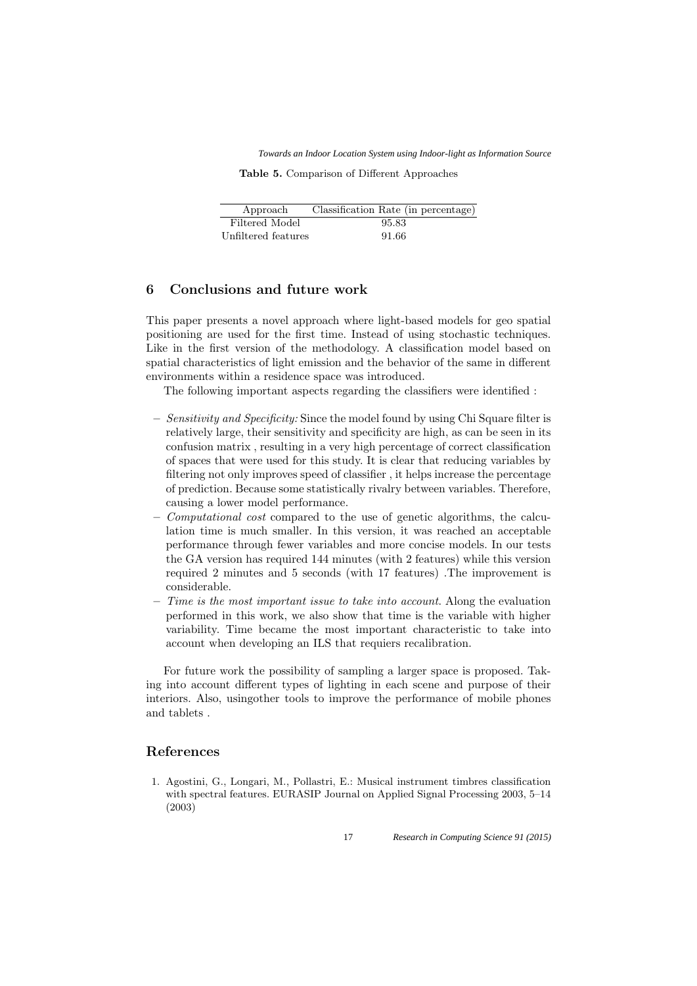*Towards an Indoor Location System using Indoor-light as Information Source*

Table 5. Comparison of Different Approaches

| Approach            | Classification Rate (in percentage) |
|---------------------|-------------------------------------|
| Filtered Model      | 95.83                               |
| Unfiltered features | 91.66                               |

# 6 Conclusions and future work

This paper presents a novel approach where light-based models for geo spatial positioning are used for the first time. Instead of using stochastic techniques. Like in the first version of the methodology. A classification model based on spatial characteristics of light emission and the behavior of the same in different environments within a residence space was introduced.

The following important aspects regarding the classifiers were identified :

- $-$  Sensitivity and Specificity: Since the model found by using Chi Square filter is relatively large, their sensitivity and specificity are high, as can be seen in its confusion matrix , resulting in a very high percentage of correct classification of spaces that were used for this study. It is clear that reducing variables by filtering not only improves speed of classifier , it helps increase the percentage of prediction. Because some statistically rivalry between variables. Therefore, causing a lower model performance.
- Computational cost compared to the use of genetic algorithms, the calculation time is much smaller. In this version, it was reached an acceptable performance through fewer variables and more concise models. In our tests the GA version has required 144 minutes (with 2 features) while this version required 2 minutes and 5 seconds (with 17 features) .The improvement is considerable.
- Time is the most important issue to take into account. Along the evaluation performed in this work, we also show that time is the variable with higher variability. Time became the most important characteristic to take into account when developing an ILS that requiers recalibration.

For future work the possibility of sampling a larger space is proposed. Taking into account different types of lighting in each scene and purpose of their interiors. Also, usingother tools to improve the performance of mobile phones and tablets .

#### References

1. Agostini, G., Longari, M., Pollastri, E.: Musical instrument timbres classification with spectral features. EURASIP Journal on Applied Signal Processing 2003, 5–14 (2003)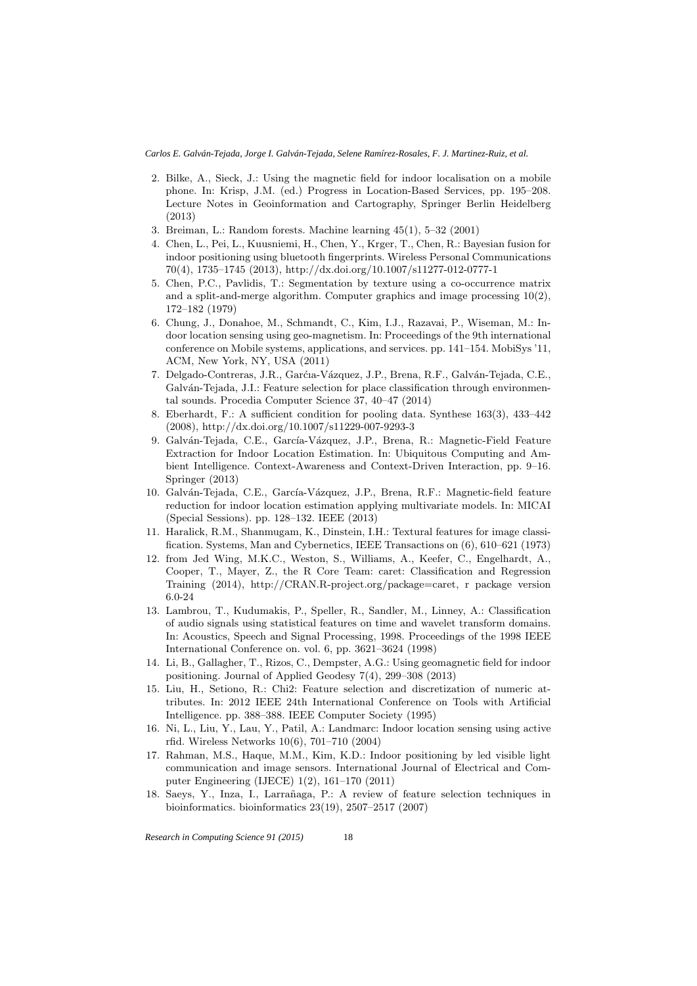*Carlos E. Galván-Tejada, Jorge I. Galván-Tejada, Selene Ramírez-Rosales, F. J. Martinez-Ruiz, et al.*

- 2. Bilke, A., Sieck, J.: Using the magnetic field for indoor localisation on a mobile phone. In: Krisp, J.M. (ed.) Progress in Location-Based Services, pp. 195–208. Lecture Notes in Geoinformation and Cartography, Springer Berlin Heidelberg (2013)
- 3. Breiman, L.: Random forests. Machine learning 45(1), 5–32 (2001)
- 4. Chen, L., Pei, L., Kuusniemi, H., Chen, Y., Krger, T., Chen, R.: Bayesian fusion for indoor positioning using bluetooth fingerprints. Wireless Personal Communications 70(4), 1735–1745 (2013), http://dx.doi.org/10.1007/s11277-012-0777-1
- 5. Chen, P.C., Pavlidis, T.: Segmentation by texture using a co-occurrence matrix and a split-and-merge algorithm. Computer graphics and image processing  $10(2)$ , 172–182 (1979)
- 6. Chung, J., Donahoe, M., Schmandt, C., Kim, I.J., Razavai, P., Wiseman, M.: Indoor location sensing using geo-magnetism. In: Proceedings of the 9th international conference on Mobile systems, applications, and services. pp. 141–154. MobiSys '11, ACM, New York, NY, USA (2011)
- 7. Delgado-Contreras, J.R., Garćia-Vázquez, J.P., Brena, R.F., Galván-Tejada, C.E., Galván-Tejada, J.I.: Feature selection for place classification through environmental sounds. Procedia Computer Science 37, 40–47 (2014)
- 8. Eberhardt, F.: A sufficient condition for pooling data. Synthese 163(3), 433–442 (2008), http://dx.doi.org/10.1007/s11229-007-9293-3
- 9. Galván-Tejada, C.E., García-Vázquez, J.P., Brena, R.: Magnetic-Field Feature Extraction for Indoor Location Estimation. In: Ubiquitous Computing and Ambient Intelligence. Context-Awareness and Context-Driven Interaction, pp. 9–16. Springer (2013)
- 10. Galván-Tejada, C.E., García-Vázquez, J.P., Brena, R.F.: Magnetic-field feature reduction for indoor location estimation applying multivariate models. In: MICAI (Special Sessions). pp. 128–132. IEEE (2013)
- 11. Haralick, R.M., Shanmugam, K., Dinstein, I.H.: Textural features for image classification. Systems, Man and Cybernetics, IEEE Transactions on (6), 610–621 (1973)
- 12. from Jed Wing, M.K.C., Weston, S., Williams, A., Keefer, C., Engelhardt, A., Cooper, T., Mayer, Z., the R Core Team: caret: Classification and Regression Training (2014), http://CRAN.R-project.org/package=caret, r package version 6.0-24
- 13. Lambrou, T., Kudumakis, P., Speller, R., Sandler, M., Linney, A.: Classification of audio signals using statistical features on time and wavelet transform domains. In: Acoustics, Speech and Signal Processing, 1998. Proceedings of the 1998 IEEE International Conference on. vol. 6, pp. 3621–3624 (1998)
- 14. Li, B., Gallagher, T., Rizos, C., Dempster, A.G.: Using geomagnetic field for indoor positioning. Journal of Applied Geodesy 7(4), 299–308 (2013)
- 15. Liu, H., Setiono, R.: Chi2: Feature selection and discretization of numeric attributes. In: 2012 IEEE 24th International Conference on Tools with Artificial Intelligence. pp. 388–388. IEEE Computer Society (1995)
- 16. Ni, L., Liu, Y., Lau, Y., Patil, A.: Landmarc: Indoor location sensing using active rfid. Wireless Networks 10(6), 701–710 (2004)
- 17. Rahman, M.S., Haque, M.M., Kim, K.D.: Indoor positioning by led visible light communication and image sensors. International Journal of Electrical and Computer Engineering (IJECE) 1(2), 161–170 (2011)
- 18. Saeys, Y., Inza, I., Larrañaga, P.: A review of feature selection techniques in bioinformatics. bioinformatics 23(19), 2507–2517 (2007)